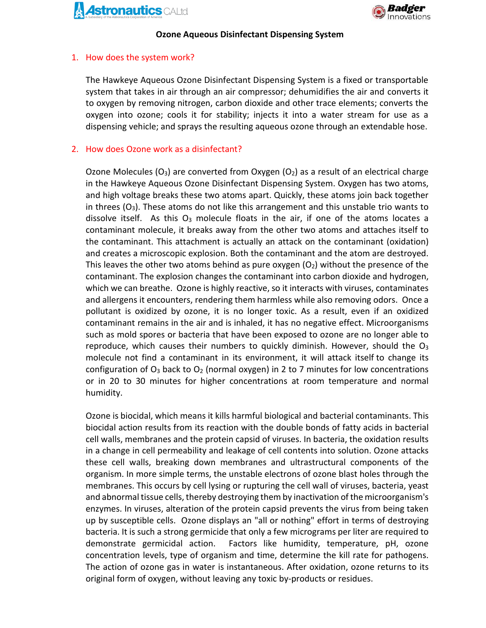



## **Ozone Aqueous Disinfectant Dispensing System**

## 1. How does the system work?

The Hawkeye Aqueous Ozone Disinfectant Dispensing System is a fixed or transportable system that takes in air through an air compressor; dehumidifies the air and converts it to oxygen by removing nitrogen, carbon dioxide and other trace elements; converts the oxygen into ozone; cools it for stability; injects it into a water stream for use as a dispensing vehicle; and sprays the resulting aqueous ozone through an extendable hose.

## 2. How does Ozone work as a disinfectant?

Ozone Molecules (O<sub>3</sub>) are converted from Oxygen (O<sub>2</sub>) as a result of an electrical charge in the Hawkeye Aqueous Ozone Disinfectant Dispensing System. Oxygen has two atoms, and high voltage breaks these two atoms apart. Quickly, these atoms join back together in threes  $(O_3)$ . These atoms do not like this arrangement and this unstable trio wants to dissolve itself. As this  $O_3$  molecule floats in the air, if one of the atoms locates a contaminant molecule, it breaks away from the other two atoms and attaches itself to the contaminant. This attachment is actually an attack on the contaminant (oxidation) and creates a microscopic explosion. Both the contaminant and the atom are destroyed. This leaves the other two atoms behind as pure oxygen  $(O_2)$  without the presence of the contaminant. The explosion changes the contaminant into carbon dioxide and hydrogen, which we can breathe. Ozone is highly reactive, so it interacts with viruses, contaminates and allergens it encounters, rendering them harmless while also removing odors. Once a pollutant is oxidized by ozone, it is no longer toxic. As a result, even if an oxidized contaminant remains in the air and is inhaled, it has no negative effect. Microorganisms such as mold spores or bacteria that have been exposed to ozone are no longer able to reproduce, which causes their numbers to quickly diminish. However, should the  $O<sub>3</sub>$ molecule not find a contaminant in its environment, it will attack itself to change its configuration of  $O_3$  back to  $O_2$  (normal oxygen) in 2 to 7 minutes for low concentrations or in 20 to 30 minutes for higher concentrations at room temperature and normal humidity.

Ozone is biocidal, which means it kills harmful biological and bacterial contaminants. This biocidal action results from its reaction with the double bonds of fatty acids in bacterial cell walls, membranes and the protein capsid of viruses. In bacteria, the oxidation results in a change in cell permeability and leakage of cell contents into solution. Ozone attacks these cell walls, breaking down membranes and ultrastructural components of the organism. In more simple terms, the unstable electrons of ozone blast holes through the membranes. This occurs by cell lysing or rupturing the cell wall of viruses, bacteria, yeast and abnormal tissue cells, thereby destroying them by inactivation of the microorganism's enzymes. In viruses, alteration of the protein capsid prevents the virus from being taken up by susceptible cells. Ozone displays an "all or nothing" effort in terms of destroying bacteria. It is such a strong germicide that only a few micrograms per liter are required to demonstrate germicidal action. Factors like humidity, temperature, pH, ozone concentration levels, type of organism and time, determine the kill rate for pathogens. The action of ozone gas in water is instantaneous. After oxidation, ozone returns to its original form of oxygen, without leaving any toxic by-products or residues.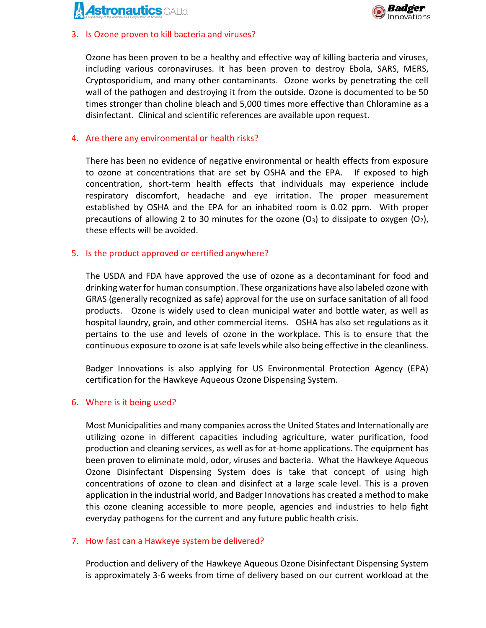



#### 3. Is Ozone proven to kill bacteria and viruses?

Ozone has been proven to be a healthy and effective way of killing bacteria and viruses, including various coronaviruses. It has been proven to destroy Ebola, SARS, MERS, Cryptosporidium, and many other contaminants. Ozone works by penetrating the cell wall of the pathogen and destroying it from the outside. Ozone is documented to be 50 times stronger than choline bleach and 5,000 times more effective than Chloramine as a disinfectant. Clinical and scientific references are available upon request.

## 4. Are there any environmental or health risks?

There has been no evidence of negative environmental or health effects from exposure to ozone at concentrations that are set by OSHA and the EPA. If exposed to high concentration, short-term health effects that individuals may experience include respiratory discomfort, headache and eye irritation. The proper measurement established by OSHA and the EPA for an inhabited room is 0.02 ppm. With proper precautions of allowing 2 to 30 minutes for the ozone  $(O_3)$  to dissipate to oxygen  $(O_2)$ , these effects will be avoided.

## 5. Is the product approved or certified anywhere?

The USDA and FDA have approved the use of ozone as a decontaminant for food and drinking water for human consumption. These organizations have also labeled ozone with GRAS (generally recognized as safe) approval for the use on surface sanitation of all food products. Ozone is widely used to clean municipal water and bottle water, as well as hospital laundry, grain, and other commercial items. OSHA has also set regulations as it pertains to the use and levels of ozone in the workplace. This is to ensure that the continuous exposure to ozone is at safe levels while also being effective in the cleanliness.

Badger Innovations is also applying for US Environmental Protection Agency (EPA) certification for the Hawkeye Aqueous Ozone Dispensing System.

#### 6. Where is it being used?

Most Municipalities and many companies across the United States and Internationally are utilizing ozone in different capacities including agriculture, water purification, food production and cleaning services, as well as for at-home applications. The equipment has been proven to eliminate mold, odor, viruses and bacteria. What the Hawkeye Aqueous Ozone Disinfectant Dispensing System does is take that concept of using high concentrations of ozone to clean and disinfect at a large scale level. This is a proven application in the industrial world, and Badger Innovations has created a method to make this ozone cleaning accessible to more people, agencies and industries to help fight everyday pathogens for the current and any future public health crisis.

#### 7. How fast can a Hawkeye system be delivered?

Production and delivery of the Hawkeye Aqueous Ozone Disinfectant Dispensing System is approximately 3-6 weeks from time of delivery based on our current workload at the